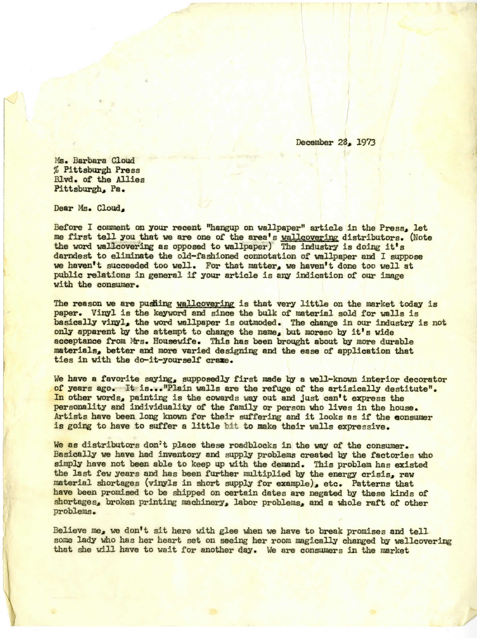December 28, 1973

Ms. Barbara Cloud % Pittsburgh Press Blvd. of the Allies Pittsburgh, Pa.

Dear Ms. Cloud,

Before I comment on your recent "hangup on wallpaper" article in the Press, let me first tell you that we are one of the area's wallcovering distributors. (Note the word wallcovering as opposed to wallpaper) The industry is doing It's darndest to eliminate the old-fashioned connotation of wallpaper and I suppose we haven't succeeded too well. For that matter, we haven't done too well at public relations in general if your article is any indication of our image with the consumer.

The reason we are pusting wallcovering is that very little on the market today is paper. Vinyl is the keyword and since the bulk of material gold for walls is basically vinyl, the word wallpaper is outmoded. The change in our industry is not only apparent by the attempt to change the name, but moreso by it's wide acceptance from Mrs. Housewife. This has been brought about by more durable materials, better and more varied designing and the ease of application that ties in with the do-it-yourself erase.

We have a favorite saying, supposedly first made by a well-known interior decorator of years ago. It is..."Plain walls are the refuge of the artisically destitute". In other words, painting is the cowards way out and just can't express the personality and individuality of the family or person who lives in the house. Artists have been long known for their suffering and it looks as if the consumer is going to have to suffer a little bit to make their walls expressive.

We as distributors don't place these roadblocks in the way of the consumer. Basically we have had inventory and supply problems created by the factories vho simply have not been able to keep up with the demand. This problem has existed the last few years and has been further multiplied by the energy crisis, raw material shortages (vinyls in short supply for example), etc. Patterns that have been promised to be shipped on certain dates are negated by these kinds of shortages, broken printing machinery, labor problems, and a whole raft of other problems.

Believe me, we don't sit here with glee when we have to break promises and tell some lady who has her heart set on seeing her room magically changed by wallcovering that she will have to wait for another day. We are consumers in the market